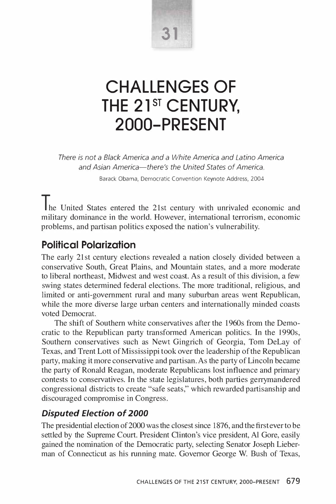

# **CHALLENGES OF THE 21<sup>st</sup> CENTURY, 2000-PRESENT**

*There is not a Black America and a White America and Latino America and Asian America-there's the United States of America.* 

Barack Obama, Democratic Convention Keynote Address, 2004

The United States entered the 21st century with unrivaled economic and military dominance in the world. However, international terrorism, economic problems, and partisan politics exposed the nation's vulnerability.

# **Political Polarization**

The early 21st century elections revealed a nation closely divided between a conservative South, Great Plains, and Mountain states, and a more moderate to liberal northeast, Midwest and west coast. As a result of this division, a few swing states determined federal elections. The more traditional, religious, and limited or anti-government rural and many suburban areas went Republican, while the more diverse large urban centers and internationally minded coasts voted Democrat.

The shift of Southern white conservatives after the 1960s from the Democratic to the Republican party transformed American politics. In the 1990s, Southern conservatives such as Newt Gingrich of Georgia, Tom DeLay of Texas, and Trent Lott of Mississippi took over the leadership of the Republican party, making it more conservative and partisan. As the party of Lincoln became the party of Ronald Reagan, moderate Republicans lost influence and primary contests to conservatives. In the state legislatures, both parties gerrymandered congressional districts to create "safe seats," which rewarded partisanship and discouraged compromise in Congress.

## *Disputed Election of 2000*

The presidential election of 2000 was the closest since 1876, and the first ever to be settled by the Supreme Court. President Clinton's vice president, Al Gore, easily gained the nomination of the Democratic party, selecting Senator Joseph Lieberman of Connecticut as his running mate. Governor George W. Bush of Texas,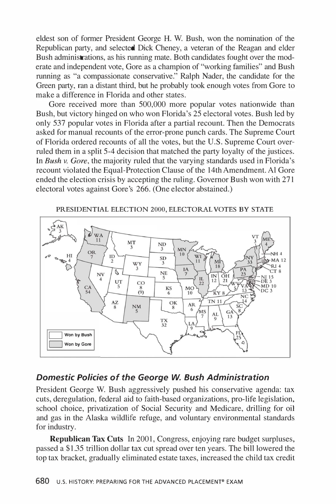eldest son of former President George H. W. Bush, won the nomination of the Republican party, and selected Dick Cheney, a veteran of the Reagan and elder Bush administrations, as his running mate. Both candidates fought over the moderate and independent vote, Gore as a champion of "working families" and Bush running as "a compassionate conservative." Ralph Nader, the candidate for the Green party, ran a distant third, but he probably took enough votes from Gore to make a difference in Florida and other states.

Gore received more than 500,000 more popular votes nationwide than Bush, but victory hinged on who won Florida's 25 electoral votes. Bush led by only 537 popular votes in Florida after a partial recount. Then the Democrats asked for manual recounts of the error-prone punch cards. The Supreme Court of Florida ordered recounts of all the votes, but the U.S. Supreme Court overruled them in a split 5-4 decision that matched the party loyalty of the justices. In *Bush v. Gore,* the majority ruled that the varying standards used in Florida's recount violated the Equal-Protection Clause of the 14th Amendment. Al Gore ended the election crisis by accepting the ruling. Governor Bush won with 271 electoral votes against Gore's 266. (One elector abstained.)



**PRESIDENTIAL ELECTION** 2000, **ELECTORAL VOTES BY STATE** 

### *Domestic Policies of the George W. Bush Administration*

President George W. Bush aggressively pushed his conservative agenda: tax cuts, deregulation, federal aid to faith-based organizations, pro-life legislation, school choice, privatization of Social Security and Medicare, drilling for oil and gas in the Alaska wildlife refuge, and voluntary environmental standards for industry.

**Republican Tax Cuts** In 2001, Congress, enjoying rare budget surpluses, passed a \$1.35 trillion dollar tax cut spread over ten years. The bill lowered the top tax bracket, gradually eliminated estate taxes, increased the child tax credit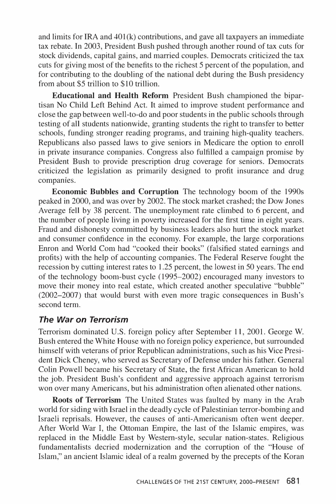and limits for IRA and 401(k) contributions, and gave all taxpayers an immediate tax rebate. In 2003, President Bush pushed through another round of tax cuts for stock dividends, capital gains, and married couples. Democrats criticized the tax cuts for giving most of the benefits to the richest 5 percent of the population, and for contributing to the doubling of the national debt during the Bush presidency from about \$5 trillion to \$10 trillion.

**Educational and Health Reform** President Bush championed the bipartisan No Child Left Behind Act. It aimed to improve student performance and close the gap between well-to-do and poor students in the public schools through testing of all students nationwide, granting students the right to transfer to better schools, funding stronger reading programs, and training high-quality teachers. Republicans also passed laws to give seniors in Medicare the option to enroll in private insurance companies. Congress also fulfilled a campaign promise by President Bush to provide prescription drug coverage for seniors. Democrats criticized the legislation as primarily designed to profit insurance and drug companies.

**Economic Bubbles and Corruption** The technology boom of the 1990s peaked in 2000, and was over by 2002. The stock market crashed; the Dow Jones Average fell by 38 percent. The unemployment rate climbed to 6 percent, and the number of people living in poverty increased for the first time in eight years. Fraud and dishonesty committed by business leaders also hurt the stock market and consumer confidence in the economy. For example, the large corporations Enron and World Com had "cooked their books" (falsified stated earnings and profits) with the help of accounting companies. The Federal Reserve fought the recession by cutting interest rates to 1.25 percent, the lowest in 50 years. The end of the technology boom-bust cycle (1995-2002) encouraged many investors to move their money into real estate, which created another speculative "bubble" (2002-2007) that would burst with even more tragic consequences in Bush's second term.

#### *The War on Terrorism*

Terrorism dominated U.S. foreign policy after September 11, 2001. George W. Bush entered the White House with no foreign policy experience, but surrounded himself with veterans of prior Republican administrations, such as his Vice President Dick Cheney, who served as Secretary of Defense under his father. General Colin Powell became his Secretary of State, the first African American to hold the job. President Bush's confident and aggressive approach against terrorism won over many Americans, but his administration often alienated other nations.

**Roots of Terrorism** The United States was faulted by many in the Arab world for siding with Israel in the deadly cycle of Palestinian terror-bombing and Israeli reprisals. However, the causes of anti-Americanism often went deeper. After World War I, the Ottoman Empire, the last of the Islamic empires, was replaced in the Middle East by Western-style, secular nation-states. Religious fundamentalists decried modernization and the corruption of the "House of Islam," an ancient Islamic ideal of a realm governed by the precepts of the Koran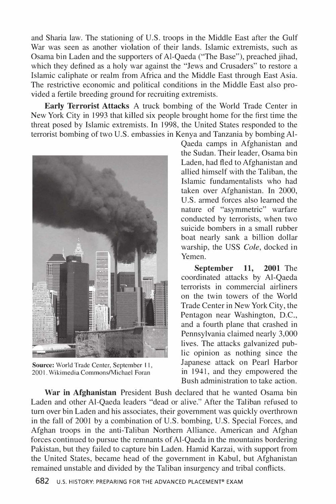and Sharia law. The stationing of U.S. troops in the Middle East after the Gulf War was seen as another violation of their lands. Islamic extremists, such as Osama bin Laden and the supporters of Al-Qaeda ("The Base"), preached jihad, which they defined as a holy war against the "Jews and Crusaders" to restore a Islamic caliphate or realm from Africa and the Middle East through East Asia. The restrictive economic and political conditions in the Middle East also provided a fertile breeding ground for recruiting extremists.

**Early Terrorist Attacks** A truck bombing of the World Trade Center in New York City in 1993 that killed six people brought home for the first time the threat posed by Islamic extremists. In 1998, the United States responded to the terrorist bombing of two U.S. embassies in Kenya and Tanzania by bombing Al-



2001. Wikimedia Commons/Michael Foran in 1941, and they empowered the

Qaeda camps in Afghanistan and the Sudan. Their leader, Osama bin Laden, had fled to Afghanistan and allied himself with the Taliban, the Islamic fundamentalists who had taken over Afghanistan. In 2000, U.S. armed forces also learned the nature of "asymmetric" warfare conducted by terrorists, when two suicide bombers in a small rubber boat nearly sank a billion dollar warship, the USS *Cole,* docked in Yemen.

**September 11, 2001** The coordinated attacks by Al-Qaeda terrorists in commercial airliners on the twin towers of the World Trade Center in New York City, the Pentagon near Washington, D.C., and a fourth plane that crashed in Pennsylvania claimed nearly 3,000 lives. The attacks galvanized public opinion as nothing since the **Source:** World Trade Center, September 11, Japanese attack on Pearl Harbor Bush administration to take action.

**War in Afghanistan** President Bush declared that he wanted Osama bin Laden and other Al-Qaeda leaders "dead or alive." After the Taliban refused to turn over bin Laden and his associates, their government was quickly overthrown in the fall of 2001 by a combination of U.S. bombing, U.S. Special Forces, and Afghan troops in the anti-Taliban Northern Alliance. American and Afghan forces continued to pursue the remnants of Al-Qaeda in the mountains bordering Pakistan, but they failed to capture bin Laden. Hamid Karzai, with support from the United States, became head of the government in Kabul, but Afghanistan remained unstable and divided by the Taliban insurgency and tribal conflicts.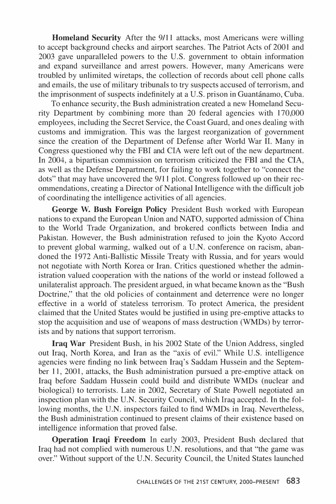**Homeland Security** After the 9/11 attacks, most Americans were willing to accept background checks and airport searches. The Patriot Acts of 2001 and 2003 gave unparalleled powers to the U.S. government to obtain information and expand surveillance and arrest powers. However, many Americans were troubled by unlimited wiretaps, the collection of records about cell phone calls and emails, the use of military tribunals to try suspects accused of terrorism, and the imprisonment of suspects indefinitely at a U.S. prison in Guantánamo, Cuba.

To enhance security, the Bush administration created a new Homeland Security Department by combining more than 20 federal agencies with 170,000 employees, including the Secret Service, the Coast Guard, and ones dealing with customs and immigration. This was the largest reorganization of government since the creation of the Department of Defense after World War II. Many in Congress questioned why the FBI and CIA were left out of the new department. In 2004, a bipartisan commission on terrorism criticized the FBI and the CIA, as well as the Defense Department, for failing to work together to "connect the dots" that may have uncovered the 9/11 plot. Congress followed up on their recommendations, creating a Director of National Intelligence with the difficult job of coordinating the intelligence activities of all agencies.

**George W. Bush Foreign Policy** President Bush worked with European nations to expand the European Union and NATO, supported admission of China to the World Trade Organization, and brokered conflicts between India and Pakistan. However, the Bush administration refused to join the Kyoto Accord to prevent global warming, walked out of a U.N. conference on racism, abandoned the 1972 Anti-Ballistic Missile Treaty with Russia, and for years would not negotiate with North Korea or Iran. Critics questioned whether the administration valued cooperation with the nations of the world or instead followed a unilateralist approach. The president argued, in what became known as the "Bush Doctrine," that the old policies of containment and deterrence were no longer effective in a world of stateless terrorism. To protect America, the president claimed that the United States would be justified in using pre-emptive attacks to stop the acquisition and use of weapons of mass destruction (WMDs) by terrorists and by nations that support terrorism.

**Iraq War** President Bush, in his 2002 State of the Union Address, singled out Iraq, North Korea, and Iran as the "axis of evil." While U.S. intelligence agencies were finding no link between Iraq's Saddam Hussein and the September 11, 2001, attacks, the Bush administration pursued a pre-emptive attack on Iraq before Saddam Hussein could build and distribute WMDs (nuclear and biological) to terrorists. Late in 2002, Secretary of State Powell negotiated an inspection plan with the U.N. Security Council, which Iraq accepted. In the following months, the U.N. inspectors failed to find WMDs in Iraq. Nevertheless, the Bush administration continued to present claims of their existence based on intelligence information that proved false.

**Operation Iraqi Freedom** In early 2003, President Bush declared that Iraq had not complied with numerous U.N. resolutions, and that "the game was over." Without support of the U.N. Security Council, the United States launched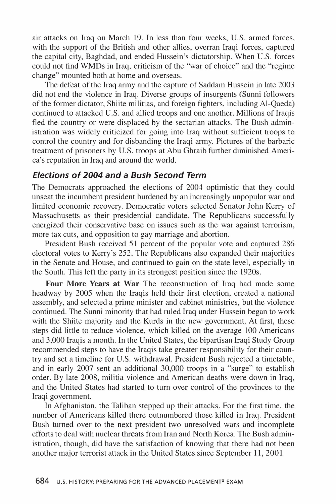air attacks on Iraq on March 19. In less than four weeks, U.S. armed forces, with the support of the British and other allies, overran Iraqi forces, captured the capital city, Baghdad, and ended Hussein's dictatorship. When U.S. forces could not find WMDs in Iraq, criticism of the "war of choice" and the "regime change" mounted both at home and overseas.

The defeat of the Iraq army and the capture of Saddam Hussein in late 2003 did not end the violence in Iraq. Diverse groups of insurgents (Sunni followers of the former dictator, Shiite militias, and foreign fighters, including Al-Qaeda) continued to attacked U.S. and allied troops and one another. Millions of Iraqis fled the country or were displaced by the sectarian attacks. The Bush administration was widely criticized for going into Iraq without sufficient troops to control the country and for disbanding the Iraqi army. Pictures of the barbaric treatment of prisoners by U.S. troops at Abu Ghraib further diminished America's reputation in Iraq and around the world.

#### *Elections of 2004 and* **a** *Bush Second Term*

The Democrats approached the elections of 2004 optimistic that they could unseat the incumbent president burdened by an increasingly unpopular war and limited economic recovery. Democratic voters selected Senator John Kerry of Massachusetts as their presidential candidate. The Republicans successfully energized their conservative base on issues such as the war against terrorism, more tax cuts, and opposition to gay marriage and abortion.

President Bush received 51 percent of the popular vote and captured 286 electoral votes to Kerry's 252. The Republicans also expanded their majorities in the Senate and House, and continued to gain on the state level, especially in the South. This left the party in its strongest position since the 1920s.

**Four More Years at War** The reconstruction of Iraq had made some headway by 2005 when the Iraqis held their first election, created a national assembly, and selected a prime minister and cabinet ministries, but the violence continued. The Sunni minority that had ruled Iraq under Hussein began to work with the Shiite majority and the Kurds in the new government. At first, these steps did little to reduce violence, which killed on the average 100 Americans and 3,000 Iraqis a month. In the United States, the bipartisan Iraqi Study Group recommended steps to have the Iraqis take greater responsibility for their country and set a timeline for U.S. withdrawal. President Bush rejected a timetable, and in early 2007 sent an additional 30,000 troops in a "surge" to establish order. By late 2008, militia violence and American deaths were down in Iraq, and the United States had started to turn over control of the provinces to the Iraqi government.

In Afghanistan, the Taliban stepped up their attacks. For the first time, the number of Americans killed there outnumbered those killed in Iraq. President Bush turned over to the next president two unresolved wars and incomplete efforts to deal with nuclear threats from Iran and North Korea. The Bush administration, though, did have the satisfaction of knowing that there had not been another major terrorist attack in the United States since September 11, 2001.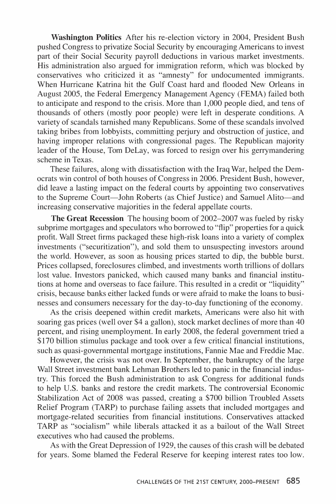**Washington Politics** After his re-election victory in 2004, President Bush pushed Congress to privatize Social Security by encouraging Americans to invest part of their Social Security payroll deductions in various market investments. His administration also argued for immigration reform, which was blocked by conservatives who criticized it as "amnesty" for undocumented immigrants. When Hurricane Katrina hit the Gulf Coast hard and flooded New Orleans in August 2005, the Federal Emergency Management Agency (FEMA) failed both to anticipate and respond to the crisis. More than 1,000 people died, and tens of thousands of others (mostly poor people) were left in desperate conditions. A variety of scandals tarnished many Republicans. Some of these scandals involved taking bribes from lobbyists, committing perjury and obstruction of justice, and having improper relations with congressional pages. The Republican majority leader of the House, Tom DeLay, was forced to resign over his gerrymandering scheme in Texas.

These failures, along with dissatisfaction with the Iraq War, helped the Democrats win control of both houses of Congress in 2006. President Bush, however, did leave a lasting impact on the federal courts by appointing two conservatives to the Supreme Court-John Roberts (as Chief Justice) and Samuel Alito-and increasing conservative majorities in the federal appellate courts.

**The Great Recession** The housing boom of 2002-2007 was fueled by risky subprime mortgages and speculators who borrowed to "flip" properties for a quick profit. Wall Street firms packaged these high-risk loans into a variety of complex investments ("securitization"), and sold them to unsuspecting investors around the world. However, as soon as housing prices started to dip, the bubble burst. Prices collapsed, foreclosures climbed, and investments worth trillions of dollars lost value. Investors panicked, which caused many banks and financial institutions at home and overseas to face failure. This resulted in a credit or "liquidity" crisis, because banks either lacked funds or were afraid to make the loans to businesses and consumers necessary for the day-to-day functioning of the economy.

As the crisis deepened within credit markets, Americans were also hit with soaring gas prices (well over \$4 a gallon), stock market declines of more than 40 percent, and rising unemployment. In early 2008, the federal government tried a \$170 billion stimulus package and took over a few critical financial institutions, such as quasi-governmental mortgage institutions, Fannie Mae and Freddie Mac.

However, the crisis was not over. In September, the bankruptcy of the large Wall Street investment bank Lehman Brothers led to panic in the financial industry. This forced the Bush administration to ask Congress for additional funds to help U.S. banks and restore the credit markets. The controversial Economic Stabilization Act of 2008 was passed, creating a \$700 billion Troubled Assets Relief Program (TARP) to purchase failing assets that included mortgages and mortgage-related securities from financial institutions. Conservatives attacked TARP as "socialism" while liberals attacked it as a bailout of the Wall Street executives who had caused the problems.

As with the Great Depression of 1929, the causes of this crash will be debated for years. Some blamed the Federal Reserve for keeping interest rates too low.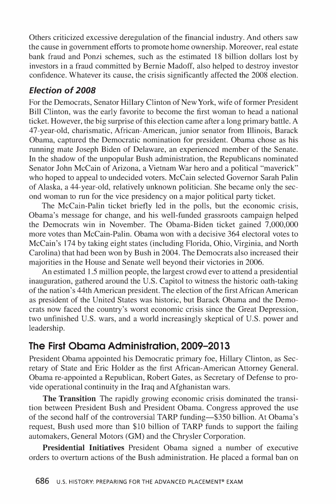Others criticized excessive deregulation of the financial industry. And others saw the cause in government efforts to promote home ownership. Moreover, real estate bank fraud and Ponzi schemes, such as the estimated 18 billion dollars lost by investors in a fraud committed by Bernie Madoff, also helped to destroy investor confidence. Whatever its cause, the crisis significantly affected the 2008 election.

### *Election of 2008*

For the Democrats, Senator Hillary Clinton of New York, wife of former President Bill Clinton, was the early favorite to become the first woman to head a national ticket. However, the big surprise of this election came after a long primary battle. A 47-year-old, charismatic, African-American, junior senator from Illinois, Barack Obama, captured the Democratic nomination for president. Obama chose as his running mate Joseph Biden of Delaware, an experienced member of the Senate. In the shadow of the unpopular Bush administration, the Republicans nominated Senator John McCain of Arizona, a Vietnam War hero and a political "maverick" who hoped to appeal to undecided voters. McCain selected Governor Sarah Palin of Alaska, a 44-year-old, relatively unknown politician. She became only the second woman to run for the vice presidency on a major political party ticket.

The McCain-Palin ticket briefly led in the polls, but the economic crisis, Obama's message for change, and his well-funded grassroots campaign helped the Democrats win in November. The Obama-Biden ticket gained 7,000,000 more votes than McCain-Palin. Obama won with a decisive 364 electoral votes to McCain's 174 by taking eight states (including Florida, Ohio, Virginia, and North Carolina) that had been won by Bush in 2004. The Democrats also increased their majorities in the House and Senate well beyond their victories in 2006.

An estimated 1.5 million people, the largest crowd ever to attend a presidential inauguration, gathered around the U.S. Capitol to witness the historic oath-taking of the nation's 44th American president. The election of the first African American as president of the United States was historic, but Barack Obama and the Democrats now faced the country's worst economic crisis since the Great Depression, two unfinished U.S. wars, and a world increasingly skeptical of U.S. power and leadership.

# **The First Obama Administration, 2009-2013**

President Obama appointed his Democratic primary foe, Hillary Clinton, as Secretary of State and Eric Holder as the first African-American Attorney General. Obama re-appointed a Republican, Robert Gates, as Secretary of Defense to provide operational continuity in the Iraq and Afghanistan wars.

**The Transition** The rapidly growing economic crisis dominated the transition between President Bush and President Obama. Congress approved the use of the second half of the controversial TARP funding-\$350 billion. At Obama's request, Bush used more than \$10 billion of TARP funds to support the failing automakers, General Motors (GM) and the Chrysler Corporation.

**Presidential Initiatives** President Obama signed a number of executive orders to overturn actions of the Bush administration. He placed a formal ban on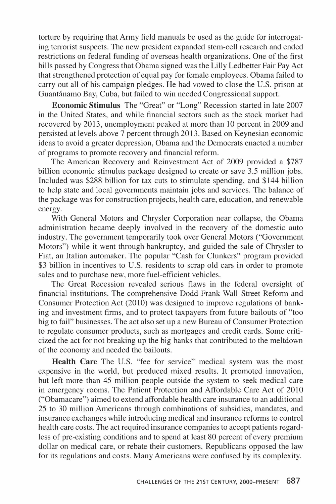torture by requiring that Army field manuals be used as the guide for interrogating terrorist suspects. The new president expanded stem-cell research and ended restrictions on federal funding of overseas health organizations. One of the first bills passed by Congress that Obama signed was the Lilly Ledbetter Fair Pay Act that strengthened protection of equal pay for female employees. Obama failed to carry out all of his campaign pledges. He had vowed to close the U.S. prison at Guantánamo Bay, Cuba, but failed to win needed Congressional support.

**Economic Stimulus** The "Great" or "Long" Recession started in late 2007 in the United States, and while financial sectors such as the stock market had recovered by 2013, unemployment peaked at more than 10 percent in 2009 and persisted at levels above 7 percent through 2013. Based on Keynesian economic ideas to avoid a greater depression, Obama and the Democrats enacted a number of programs to promote recovery and financial reform.

The American Recovery and Reinvestment Act of 2009 provided a \$787 billion economic stimulus package designed to create or save 3.5 million jobs. Included was \$288 billion for tax cuts to stimulate spending, and \$144 billion to help state and local governments maintain jobs and services. The balance of the package was for construction projects, health care, education, and renewable energy.

With General Motors and Chrysler Corporation near collapse, the Obama administration became deeply involved in the recovery of the domestic auto industry. The government temporarily took over General Motors ("Government Motors") while it went through bankruptcy, and guided the sale of Chrysler to Fiat, an Italian automaker. The popular "Cash for Clunkers" program provided \$3 billion in incentives to U.S. residents to scrap old cars in order to promote sales and to purchase new, more fuel-efficient vehicles.

The Great Recession revealed serious flaws in the federal oversight of financial institutions. The comprehensive Dodd-Frank Wall Street Reform and Consumer Protection Act (2010) was designed to improve regulations of banking and investment firms, and to protect taxpayers from future bailouts of "too big to fail" businesses. The act also set up a new Bureau of Consumer Protection to regulate consumer products, such as mortgages and credit cards. Some criticized the act for not breaking up the big banks that contributed to the meltdown of the economy and needed the bailouts.

**Health Care** The U.S. "fee for service" medical system was the most expensive in the world, but produced mixed results. It promoted innovation, but left more than 45 million people outside the system to seek medical care in emergency rooms. The Patient Protection and Affordable Care Act of 2010 ("Obamacare") aimed to extend affordable health care insurance to an additional 25 to 30 million Americans through combinations of subsidies, mandates, and insurance exchanges while introducing medical and insurance reforms to control health care costs. The act required insurance companies to accept patients regardless of pre-existing conditions and to spend at least 80 percent of every premium dollar on medical care, or rebate their customers. Republicans opposed the law for its regulations and costs. Many Americans were confused by its complexity.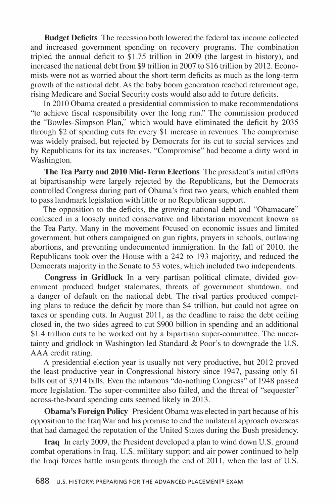**Budget Deficits** The recession both lowered the federal tax income collected and increased government spending on recovery programs. The combination tripled the annual deficit to \$1.75 trillion in 2009 (the largest in history), and increased the national debt from \$9 trillion in 2007 to \$16 trillion by 2012. Economists were not as worried about the short-term deficits as much as the long-term growth of the national debt. As the baby boom generation reached retirement age, rising Medicare and Social Security costs would also add to future deficits.

In 2010 Obama created a presidential commission to make recommendations "to achieve fiscal responsibility over the long run." The commission produced the "Bowles-Simpson Plan," which would have eliminated the deficit by 2035 through \$2 of spending cuts for every \$1 increase in revenues. The compromise was widely praised, but rejected by Democrats for its cut to social services and by Republicans for its tax increases. "Compromise" had become a dirty word in Washington.

**The Tea Party and 2010 Mid-Term Elections** The president's initial efforts at bipartisanship were largely rejected by the Republicans, but the Democrats controlled Congress during part of Obama's first two years, which enabled them to pass landmark legislation with little or no Republican support.

The opposition to the deficits, the growing national debt and "Obamacare" coalesced in a loosely united conservative and libertarian movement known as the Tea Party. Many in the movement focused on economic issues and limited government, but others campaigned on gun rights, prayers in schools, outlawing abortions, and preventing undocumented immigration. In the fall of 2010, the Republicans took over the House with a 242 to 193 majority, and reduced the Democrats majority in the Senate to 53 votes, which included two independents.

**Congress in Gridlock** In a very partisan political climate, divided government produced budget stalemates, threats of government shutdown, and a danger of default on the national debt. The rival parties produced competing plans to reduce the deficit by more than \$4 trillion, but could not agree on taxes or spending cuts. In August 2011, as the deadline to raise the debt ceiling closed in, the two sides agreed to cut \$900 billion in spending and an additional \$1.4 trillion cuts to be worked out by a bipartisan super-committee. The uncertainty and gridlock in Washington led Standard & Poor's to downgrade the U.S. AAA credit rating.

A presidential election year is usually not very productive, but 2012 proved the least productive year in Congressional history since 1947, passing only 61 bills out of 3,914 bills. Even the infamous "do-nothing Congress" of 1948 passed more legislation. The super-committee also failed, and the threat of "sequester" across-the-board spending cuts seemed likely in 2013.

**Obama's Foreign Policy** President Obama was elected in part because of his opposition to the Iraq War and his promise to end the unilateral approach overseas that had damaged the reputation of the United States during the Bush presidency.

**Iraq** In early 2009, the President developed a plan to wind down U.S. ground combat operations in Iraq. U.S. military support and air power continued to help the Iraqi forces battle insurgents through the end of 2011, when the last of U.S.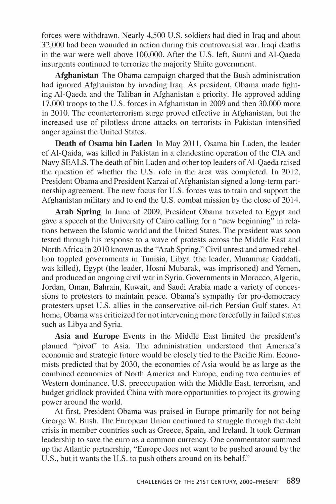forces were withdrawn. Nearly 4,500 U.S. soldiers had died in Iraq and about 32,000 had been wounded in action during this controversial war. Iraqi deaths in the war were well above 100,000. After the U.S. left, Sunni and Al-Qaeda insurgents continued to terrorize the majority Shiite government.

**Afghanistan** The Obama campaign charged that the Bush administration had ignored Afghanistan by invading Iraq. As president, Obama made fighting Al-Qaeda and the Taliban in Afghanistan a priority. He approved adding 17,000 troops to the U.S. forces in Afghanistan in 2009 and then 30,000 more in 2010. The counterterrorism surge proved effective in Afghanistan, but the increased use of pilotless drone attacks on terrorists in Pakistan intensified anger against the United States.

**Death of Osama bin Laden** In May 2011, Osama bin Laden, the leader of Al-Qaida, was killed in Pakistan in a clandestine operation of the CIA and Navy SEALS. The death of bin Laden and other top leaders of Al-Qaeda raised the question of whether the U.S. role in the area was completed. In 2012, President Obama and President Karzai of Afghanistan signed a long-term partnership agreement. The new focus for U.S. forces was to train and support the Afghanistan military and to end the U.S. combat mission by the close of 2014.

**Arab Spring** In June of 2009, President Obama traveled to Egypt and gave a speech at the University of Cairo calling for a "new beginning" in relations between the Islamic world and the United States. The president was soon tested through his response to a wave of protests across the Middle East and North Africa in 2010 known as the "Arab Spring." Civil unrest and armed rebellion toppled governments in Tunisia, Libya (the leader, Muammar Gaddafi, was killed), Egypt (the leader, Hosni Mubarak, was imprisoned) and Yemen, and produced an ongoing civil war in Syria. Governments in Morocco, Algeria, Jordan, Oman, Bahrain, Kuwait, and Saudi Arabia made a variety of concessions to protesters to maintain peace. Obama's sympathy for pro-democracy protesters upset U.S. allies in the conservative oil-rich Persian Gulf states. At home, Obama was criticized for not intervening more forcefully in failed states such as Libya and Syria.

**Asia and Europe** Events in the Middle East limited the president's planned "pivot" to Asia. The administration understood that America's economic and strategic future would be closely tied to the Pacific Rim. Economists predicted that by 2030, the economies of Asia would be as large as the combined economies of North America and Europe, ending two centuries of Western dominance. U.S. preoccupation with the Middle East, terrorism, and budget gridlock provided China with more opportunities to project its growing power around the world.

At first, President Obama was praised in Europe primarily for not being George W. Bush. The European Union continued to struggle through the debt crisis in member countries such as Greece, Spain, and Ireland. It took German leadership to save the euro as a common currency. One commentator summed up the Atlantic partnership, "Europe does not want to be pushed around by the U.S., but it wants the U.S. to push others around on its behalf."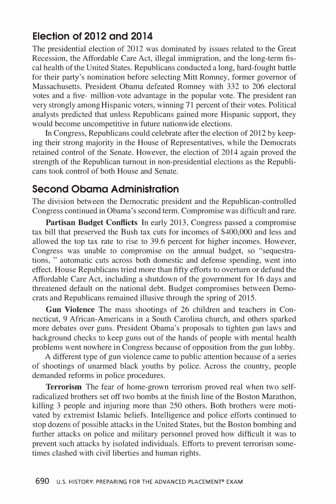# **Election of 2012 and 2014**

The presidential election of 2012 was dominated by issues related to the Great Recession, the Affordable Care Act, illegal immigration, and the long-term fiscal health of the United States. Republicans conducted a long, hard-fought battle for their party's nomination before selecting Mitt Romney, former governor of Massachusetts. President Obama defeated Romney with 332 to 206 electoral votes and a five- million-vote advantage in the popular vote. The president ran very strongly among Hispanic voters, winning 71 percent of their votes. Political analysts predicted that unless Republicans gained more Hispanic support, they would become uncompetitive in future nationwide elections.

In Congress, Republicans could celebrate after the election of 2012 by keeping their strong majority in the House of Representatives, while the Democrats retained control of the Senate. However, the election of 2014 again proved the strength of the Republican turnout in non-presidential elections as the Republicans took control of both House and Senate.

# **Second Obama Administration**

The division between the Democratic president and the Republican-controlled Congress continued in Obama's second term. Compromise was difficult and rare.

**Partisan Budget Conflicts** In early 2013, Congress passed a compromise tax bill that preserved the Bush tax cuts for incomes of \$400,000 and less and allowed the top tax rate to rise to 39.6 percent for higher incomes. However, Congress was unable to compromise on the annual budget, so "sequestrations, " automatic cuts across both domestic and defense spending, went into effect. House Republicans tried more than fifty efforts to overturn or defund the Affordable Care Act, including a shutdown of the government for 16 days and threatened default on the national debt. Budget compromises between Democrats and Republicans remained illusive through the spring of 2015.

**Gun Violence** The mass shootings of 26 children and teachers in Connecticut, 9 African-Americans in a South Carolina church, and others sparked more debates over guns. President Obama's proposals to tighten gun laws and background checks to keep guns out of the hands of people with mental health problems went nowhere in Congress because of opposition from the gun lobby.

A different type of gun violence came to public attention because of a series of shootings of unarmed black youths by police. Across the country, people demanded reforms in police procedures.

**Terrorism** The fear of home-grown terrorism proved real when two selfradicalized brothers set off two bombs at the finish line of the Boston Marathon, killing 3 people and injuring more than 250 others. Both brothers were motivated by extremist Islamic beliefs. Intelligence and police efforts continued to stop dozens of possible attacks in the United States, but the Boston bombing and further attacks on police and military personnel proved how difficult it was to prevent such attacks by isolated individuals. Efforts to prevent terrorism sometimes clashed with civil liberties and human rights.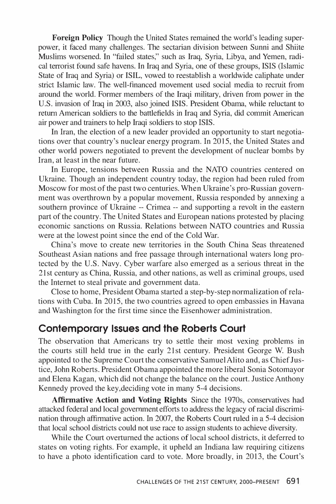**Foreign Policy** Though the United States remained the world's leading superpower, it faced many challenges. The sectarian division between Sunni and Shiite Muslims worsened. In "failed states," such as Iraq, Syria, Libya, and Yemen, radical terrorist found safe havens. In Iraq and Syria, one of these groups, ISIS (Islamic State of Iraq and Syria) or ISIL, vowed to reestablish a worldwide caliphate under strict Islamic law. The well-financed movement used social media to recruit from around the world. Former members of the Iraqi military, driven from power in the U.S. invasion of Iraq in 2003, also joined ISIS. President Obama, while reluctant to return American soldiers to the battlefields in Iraq and Syria, did commit American air power and trainers to help Iraqi soldiers to stop ISIS.

In Iran, the election of a new leader provided an opportunity to start negotiations over that country's nuclear energy program. In 2015, the United States and other world powers negotiated to prevent the development of nuclear bombs by Iran, at least in the near future.

In Europe, tensions between Russia and the NATO countries centered on Ukraine. Though an independent country today, the region had been ruled from Moscow for most of the past two centuries. When Ukraine's pro-Russian government was overthrown by a popular movement, Russia responded by annexing a southern province of Ukraine -- Crimea -- and supporting a revolt in the eastern part of the country. The United States and European nations protested by placing economic sanctions on Russia. Relations between NATO countries and Russia were at the lowest point since the end of the Cold War.

China's move to create new territories in the South China Seas threatened Southeast Asian nations and free passage through international waters long protected by the U.S. Navy. Cyber warfare also emerged as a serious threat in the 21st century as China, Russia, and other nations, as well as criminal groups, used the Internet to steal private and government data.

Close to home, President Obama started a step-by-step normalization of relations with Cuba. In 2015, the two countries agreed to open embassies in Havana and Washington for the first time since the Eisenhower administration.

### **Contemporary Issues and the Roberts Court**

The observation that Americans try to settle their most vexing problems in the courts still held true in the early 21st century. President George W. Bush appointed to the Supreme Court the conservative Samuel Alito and, as Chief Justice, John Roberts. President Obama appointed the more liberal Sonia Sotomayor and Elena Kagan, which did not change the balance on the court. Justice Anthony Kennedy proved the key,deciding vote in many 5-4 decisions.

**Affirmative Action and Voting Rights** Since the 1970s, conservatives had attacked federal and local government efforts to address the legacy of racial discrimination through affirmative action. In 2007, the Roberts Court ruled in a 5-4 decision that local school districts could not use race to assign students to achieve diversity.

While the Court overturned the actions of local school districts, it deferred to states on voting rights. For example, it upheld an Indiana law requiring citizens to have a photo identification card to vote. More broadly, in 2013, the Court's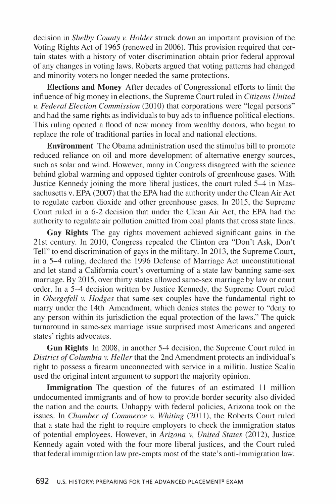decision in *Shelby County v. Holder* struck down an important provision of the Voting Rights Act of 1965 (renewed in 2006). This provision required that certain states with a history of voter discrimination obtain prior federal approval of any changes in voting laws. Roberts argued that voting patterns had changed and minority voters no longer needed the same protections.

**Elections and Money** After decades of Congressional efforts to limit the influence of big money in elections, the Supreme Court ruled in *Citizens United v. Federal Election Commission* (2010) that corporations were "legal persons" and had the same rights as individuals to buy ads to influence political elections. This ruling opened a flood of new money from wealthy donors, who began to replace the role of traditional parties in local and national elections.

**Environment** The Obama administration used the stimulus bill to promote reduced reliance on oil and more development of alternative energy sources, such as solar and wind. However, many in Congress disagreed with the science behind global warming and opposed tighter controls of greenhouse gases. With Justice Kennedy joining the more liberal justices, the court ruled 5-4 in Massachusetts v. EPA (2007) that the EPA had the authority under the Clean Air Act to regulate carbon dioxide and other greenhouse gases. In 2015, the Supreme Court ruled in a 6-2 decision that under the Clean Air Act, the EPA had the authority to regulate air pollution emitted from coal plants that cross state lines.

**Gay Rights** The gay rights movement achieved significant gains in the 21st century. In 2010, Congress repealed the Clinton era "Don't Ask, Don't Tell" to end discrimination of gays in the military. In 2013, the Supreme Court, in a 5-4 ruling, declared the 1996 Defense of Marriage Act unconstitutional and let stand a California court's overturning of a state law banning same-sex marriage. By 2015, over thirty states allowed same-sex marriage by law or court order. In a 5-4 decision written by Justice Kennedy, the Supreme Court ruled in *Obergefell v. Hodges* that same-sex couples have the fundamental right to marry under the 14th Amendment, which denies states the power to "deny to any person within its jurisdiction the equal protection of the laws." The quick turnaround in same-sex marriage issue surprised most Americans and angered states' rights advocates.

**Gun Rights** In 2008, in another 5-4 decision, the Supreme Court ruled in *District of Columbia v. Heller* that the 2nd Amendment protects an individual's right to possess a firearm unconnected with service in a militia. Justice Scalia used the original intent argument to support the majority opinion.

**Immigration** The question of the futures of an estimated 11 million undocumented immigrants and of how to provide border security also divided the nation and the courts. Unhappy with federal policies, Arizona took on the issues. In *Chamber of Commerce v. Whiting* (2011), the Roberts Court ruled that a state had the right to require employers to check the immigration status of potential employees. However, in *Arizona v. United States* (2012), Justice Kennedy again voted with the four more liberal justices, and the Court ruled that federal immigration law pre-empts most of the state's anti-immigration law.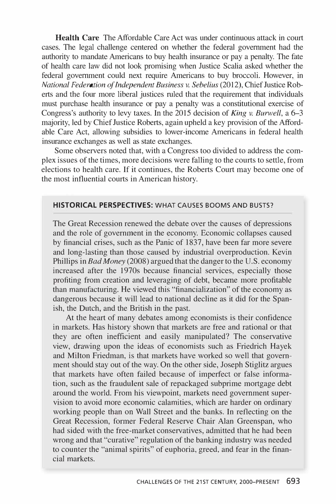**Health Care** The Affordable Care Act was under continuous attack in court cases. The legal challenge centered on whether the federal government had the authority to mandate Americans to buy health insurance or pay a penalty. The fate of health care law did not look promising when Justice Scalia asked whether the federal government could next require Americans to buy broccoli. However, in *National Federation of Independent Business v. Sebelius* (2012), Chief Justice Roberts and the four more liberal justices ruled that the requirement that individuals must purchase health insurance or pay a penalty was a constitutional exercise of Congress's authority to levy taxes. In the 2015 decision of *King v. Burwell,* a 6-3 majority, led by Chief Justice Roberts, again upheld a key provision of the Affordable Care Act, allowing subsidies to lower-income Americans in federal health insurance exchanges as well as state exchanges.

Some observers noted that, with a Congress too divided to address the complex issues of the times, more decisions were falling to the courts to settle, from elections to health care. If it continues, the Roberts Court may become one of the most influential courts in American history.

#### **HISTORICAL PERSPECTIVES:** WHAT CAUSES BOOMS AND BUSTS?

The Great Recession renewed the debate over the causes of depressions and the role of government in the economy. Economic collapses caused by financial crises, such as the Panic of 1837, have been far more severe and long-lasting than those caused by industrial overproduction. Kevin Phillips in *Bad Money* (2008) argued that the danger to the U.S. economy increased after the 1970s because financial services, especially those profiting from creation and leveraging of debt, became more profitable than manufacturing. He viewed this "financialization" of the economy as dangerous because it will lead to national decline as it did for the Spanish, the Dutch, and the British in the past.

At the heart of many debates among economists is their confidence in markets. Has history shown that markets are free and rational or that they are often inefficient and easily manipulated? The conservative view, drawing upon the ideas of economists such as Friedrich Hayek and Milton Friedman, is that markets have worked so well that government should stay out of the way. On the other side, Joseph Stiglitz argues that markets have often failed because of imperfect or false information, such as the fraudulent sale of repackaged subprime mortgage debt around the world. From his viewpoint, markets need government supervision to avoid more economic calamities, which are harder on ordinary working people than on Wall Street and the banks. In reflecting on the Great Recession, former Federal Reserve Chair Alan Greenspan, who had sided with the free-market conservatives, admitted that he had been wrong and that "curative" regulation of the banking industry was needed to counter the "animal spirits" of euphoria, greed, and fear in the financial markets.